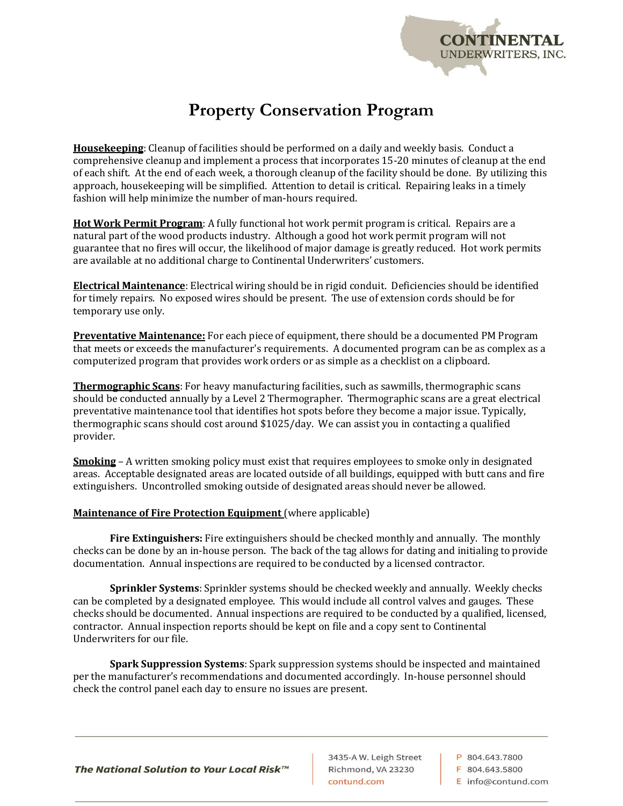

## **Property Conservation Program**

**Housekeeping**: Cleanup of facilities should be performed on a daily and weekly basis. Conduct a comprehensive cleanup and implement a process that incorporates 15-20 minutes of cleanup at the end of each shift. At the end of each week, a thorough cleanup of the facility should be done. By utilizing this approach, housekeeping will be simplified. Attention to detail is critical. Repairing leaks in a timely fashion will help minimize the number of man-hours required.

**Hot Work Permit Program**: A fully functional hot work permit program is critical. Repairs are a natural part of the wood products industry. Although a good hot work permit program will not guarantee that no fires will occur, the likelihood of major damage is greatly reduced. Hot work permits are available at no additional charge to Continental Underwriters' customers.

**Electrical Maintenance**: Electrical wiring should be in rigid conduit. Deficiencies should be identified for timely repairs. No exposed wires should be present. The use of extension cords should be for temporary use only.

**Preventative Maintenance:** For each piece of equipment, there should be a documented PM Program that meets or exceeds the manufacturer's requirements. A documented program can be as complex as a computerized program that provides work orders or as simple as a checklist on a clipboard.

**Thermographic Scans**: For heavy manufacturing facilities, such as sawmills, thermographic scans should be conducted annually by a Level 2 Thermographer. Thermographic scans are a great electrical preventative maintenance tool that identifies hot spots before they become a major issue. Typically, thermographic scans should cost around \$1025/day. We can assist you in contacting a qualified provider.

**Smoking** – A written smoking policy must exist that requires employees to smoke only in designated areas. Acceptable designated areas are located outside of all buildings, equipped with butt cans and fire extinguishers. Uncontrolled smoking outside of designated areas should never be allowed.

## **Maintenance of Fire Protection Equipment** (where applicable)

**Fire Extinguishers:** Fire extinguishers should be checked monthly and annually. The monthly checks can be done by an in-house person. The back of the tag allows for dating and initialing to provide documentation. Annual inspections are required to be conducted by a licensed contractor.

**Sprinkler Systems**: Sprinkler systems should be checked weekly and annually. Weekly checks can be completed by a designated employee. This would include all control valves and gauges. These checks should be documented. Annual inspections are required to be conducted by a qualified, licensed, contractor. Annual inspection reports should be kept on file and a copy sent to Continental Underwriters for our file.

**Spark Suppression Systems**: Spark suppression systems should be inspected and maintained per the manufacturer's recommendations and documented accordingly. In-house personnel should check the control panel each day to ensure no issues are present.

The National Solution to Your Local Risk™

3435-A W. Leigh Street Richmond, VA 23230 contund.com

P 804 643 7800 F 804.643.5800 E info@contund.com